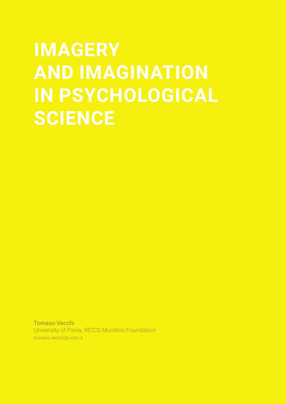# **IMAGERY AND IMAGINATION IN PSYCHOLOGICAL SCIENCE**

Tomaso Vecchi University of Pavia, IRCCS Mondino Foundation tomaso.vecchi@unipv.it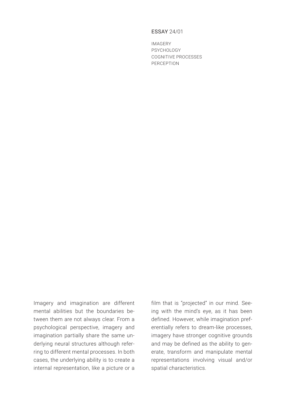## ESSAY 24/01

IMAGERY PSYCHOLOGY COGNITIVE PROCESSES PERCEPTION

Imagery and imagination are different mental abilities but the boundaries between them are not always clear. From a psychological perspective, imagery and imagination partially share the same underlying neural structures although referring to different mental processes. In both cases, the underlying ability is to create a internal representation, like a picture or a

film that is "projected" in our mind. Seeing with the mind's eye, as it has been defined. However, while imagination preferentially refers to dream-like processes, imagery have stronger cognitive grounds and may be defined as the ability to generate, transform and manipulate mental representations involving visual and/or spatial characteristics.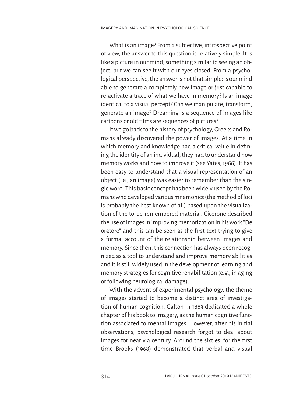What is an image? From a subjective, introspective point of view, the answer to this question is relatively simple. It is like a picture in our mind, something similar to seeing an object, but we can see it with our eyes closed. From a psychological perspective, the answer is not that simple: Is our mind able to generate a completely new image or just capable to re-activate a trace of what we have in memory? Is an image identical to a visual percept? Can we manipulate, transform, generate an image? Dreaming is a sequence of images like cartoons or old films are sequences of pictures?

If we go back to the history of psychology, Greeks and Romans already discovered the power of images. At a time in which memory and knowledge had a critical value in defining the identity of an individual, they had to understand how memory works and how to improve it (see Yates, 1966). It has been easy to understand that a visual representation of an object (i.e., an image) was easier to remember than the single word. This basic concept has been widely used by the Romans who developed various mnemonics (the method of loci is probably the best known of all) based upon the visualization of the to-be-remembered material. Cicerone described the use of images in improving memorization in his work "De oratore" and this can be seen as the first text trying to give a formal account of the relationship between images and memory. Since then, this connection has always been recognized as a tool to understand and improve memory abilities and it is still widely used in the development of learning and memory strategies for cognitive rehabilitation (e.g., in aging or following neurological damage).

With the advent of experimental psychology, the theme of images started to become a distinct area of investigation of human cognition. Galton in 1883 dedicated a whole chapter of his book to imagery, as the human cognitive function associated to mental images. However, after his initial observations, psychological research forgot to deal about images for nearly a century. Around the sixties, for the first time Brooks (1968) demonstrated that verbal and visual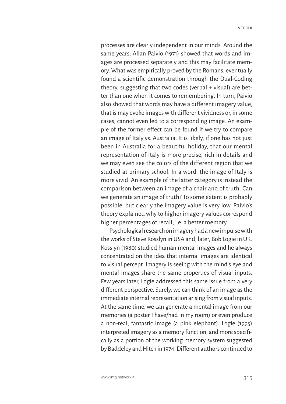processes are clearly independent in our minds. Around the same years, Allan Paivio (1971) showed that words and images are processed separately and this may facilitate memory. What was empirically proved by the Romans, eventually found a scientific demonstration through the Dual-Coding theory, suggesting that two codes (verbal + visual) are better than one when it comes to remembering. In turn, Paivio also showed that words may have a different imagery value, that is may evoke images with different vividness or, in some cases, cannot even led to a corresponding image. An example of the former effect can be found if we try to compare an image of Italy vs. Australia. It is likely, if one has not just been in Australia for a beautiful holiday, that our mental representation of Italy is more precise, rich in details and we may even see the colors of the different region that we studied at primary school. In a word: the image of Italy is more vivid. An example of the latter category is instead the comparison between an image of a chair and of truth. Can we generate an image of truth? To some extent is probably possible, but clearly the imagery value is very low. Paivio's theory explained why to higher imagery values correspond higher percentages of recall, i.e. a better memory.

Psychological research on imagery had a new impulse with the works of Steve Kosslyn in USA and, later, Bob Logie in UK. Kosslyn (1980) studied human mental images and he always concentrated on the idea that internal images are identical to visual percept. Imagery is seeing with the mind's eye and mental images share the same properties of visual inputs. Few years later, Logie addressed this same issue from a very different perspective. Surely, we can think of an image as the immediate internal representation arising from visual inputs. At the same time, we can generate a mental image from our memories (a poster I have/had in my room) or even produce a non-real, fantastic image (a pink elephant). Logie (1995) interpreted imagery as a memory function, and more specifically as a portion of the working memory system suggested by Baddeley and Hitch in 1974. Different authors continued to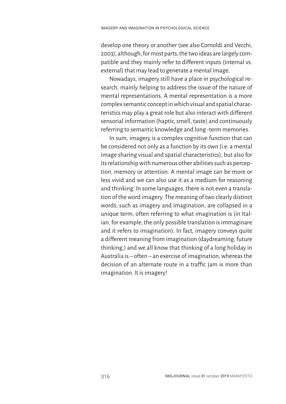develop one theory or another (see also Cornoldi and Vecchi, 2003), although, for most parts, the two ideas are largely compatible and they mainly refer to different inputs (internal vs. external) that may lead to generate a mental image.

Nowadays, imagery still have a place in psychological research, mainly helping to address the issue of the nature of mental representations. A mental representation is a more complex semantic concept in which visual and spatial characteristics may play a great role but also interact with different sensorial information (haptic, smell, taste) and continuously referring to semantic knowledge and long -term memories.

In sum, imagery is a complex cognitive function that can be considered not only as a function by its own (i.e. a mental image sharing visual and spatial characteristics), but also for its relationship with numerous other abilities such as perception, memory or attention. A mental image can be more or less vivid and we can also use it as a medium for reasoning and thinking. In some languages, there is not even a translation of the word imagery. The meaning of two clearly distinct words, such as imagery and imagination, are collapsed in a unique term, often referring to what imagination is (in Italian, for example, the only possible translation is immaginare and it refers to imagination). In fact, imagery conveys quite a different meaning from imagination (daydreaming, future thinking,) and we all know that thinking of a long holiday in Australia is – often – an exercise of imagination, whereas the decision of an alternate route in a traffic jam is more than imagination. It is imagery!